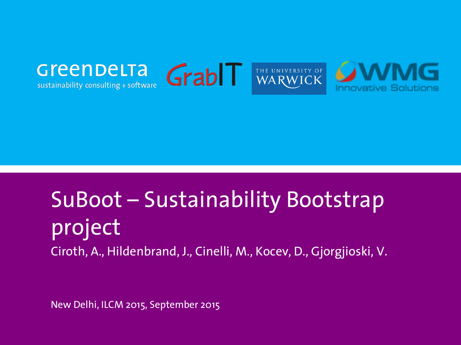

sustainability consulting + software





## SuBoot – Sustainability Bootstrap project Ciroth, A., Hildenbrand, J., Cinelli, M., Kocev, D., Gjorgjioski, V.

New Delhi, ILCM 2015, September 2015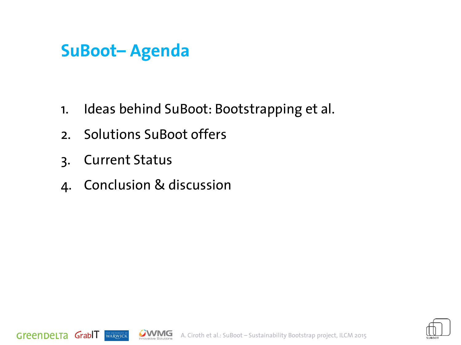#### **SuBoot– Agenda**

- 1. Ideas behind SuBoot: Bootstrapping et al.
- 2. Solutions SuBoot offers
- 3. Current Status

**THE UNIVERSITY OF** 

GreenDeLTa GrabIT

4. Conclusion & discussion



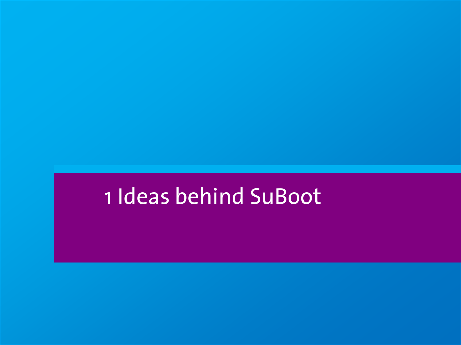# 1 Ideas behind SuBoot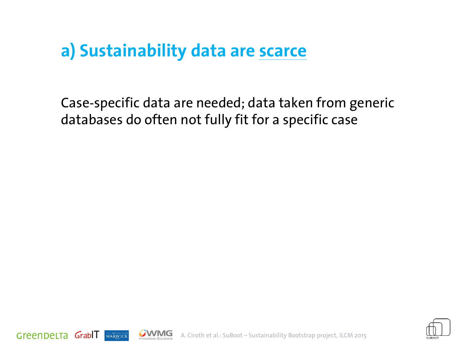#### **a) Sustainability data are scarce**

Case-specific data are needed; data taken from generic databases do often not fully fit for a specific case





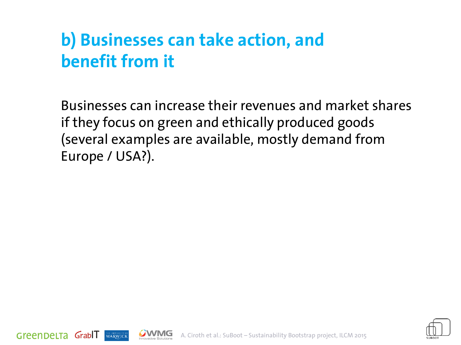### **b) Businesses can take action, and benefit from it**

GreenDeLTa GrabLT

WARWICK

Businesses can increase their revenues and market shares if they focus on green and ethically produced goods (several examples are available, mostly demand from Europe / USA?).



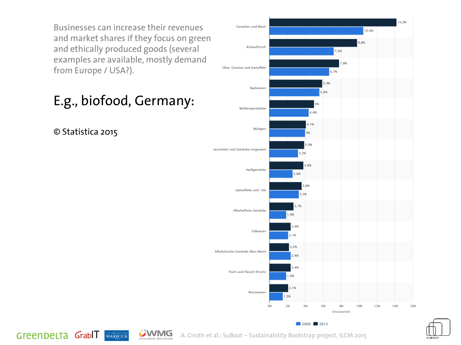Businesses can increase their revenues and market shares if they focus on green and ethically produced goods (several examples are available, mostly demand from Europe / USA?).

E.g., biofood, Germany:

WARWICK

© Statistica 2015

GreenDeLTa GrabIT







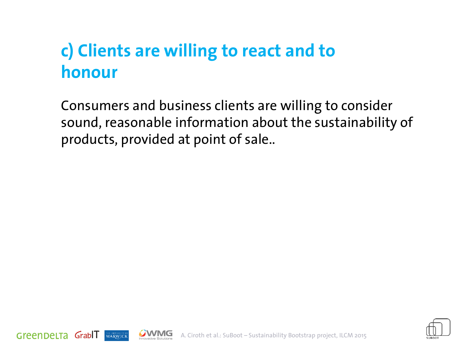### **c) Clients are willing to react and to honour**

Consumers and business clients are willing to consider sound, reasonable information about the sustainability of products, provided at point of sale..



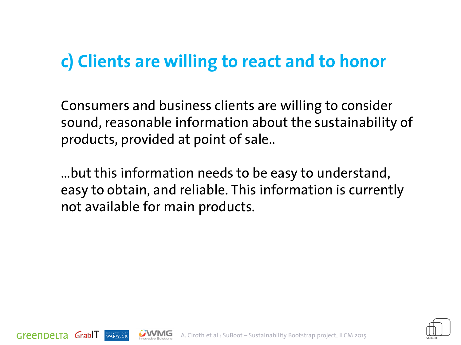#### **c) Clients are willing to react and to honor**

Consumers and business clients are willing to consider sound, reasonable information about the sustainability of products, provided at point of sale..

…but this information needs to be easy to understand, easy to obtain, and reliable. This information is currently not available for main products.

Greenpelta Grable



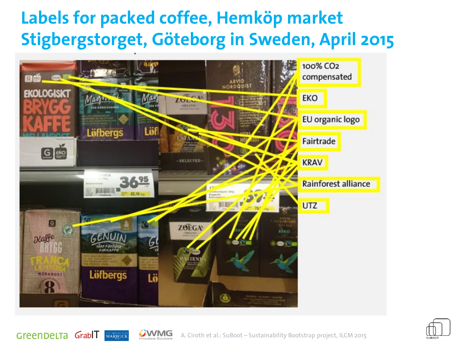#### **Labels for packed coffee, Hemköp market Stigbergstorget, Göteborg in Sweden, April 2015**





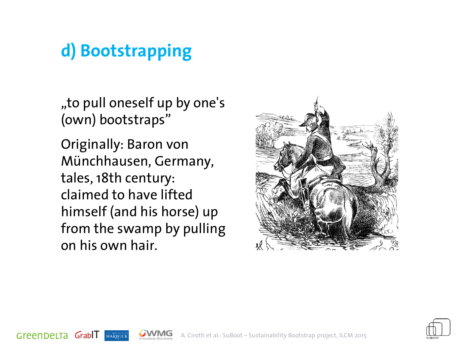### **d) Bootstrapping**

"to pull oneself up by one's (own) bootstraps"

Originally: Baron von Münchhausen, Germany, tales, 18th century: claimed to have lifted himself (and his horse) up from the swamp by pulling on his own hair.

WARWICK

GreenDeLTa GrabIT





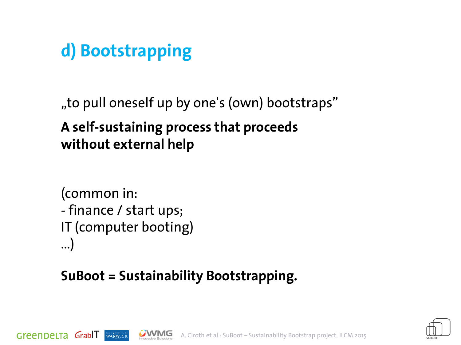### **d) Bootstrapping**

"to pull oneself up by one's (own) bootstraps"

#### **A self-sustaining process that proceeds without external help**

```
(common in: 
- finance / start ups; 
IT (computer booting)
…)
```
WARWICK

Green DeLTa Grabll

#### **SuBoot = Sustainability Bootstrapping.**



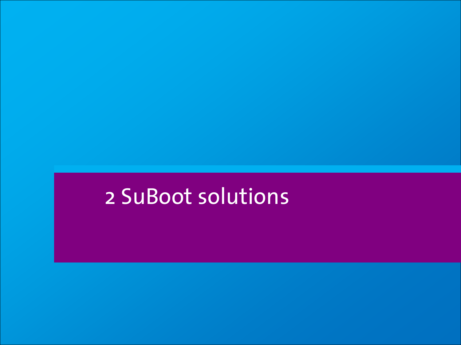# 2 SuBoot solutions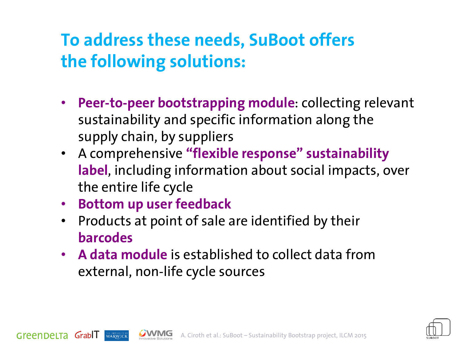#### **To address these needs, SuBoot offers the following solutions:**

- **Peer-to-peer bootstrapping module**: collecting relevant sustainability and specific information along the supply chain, by suppliers
- A comprehensive **"flexible response" sustainability label**, including information about social impacts, over the entire life cycle
- **Bottom up user feedback**

WARWICK

Green DeLTa GrabIT

- Products at point of sale are identified by their **barcodes**
- **A data module** is established to collect data from external, non-life cycle sources

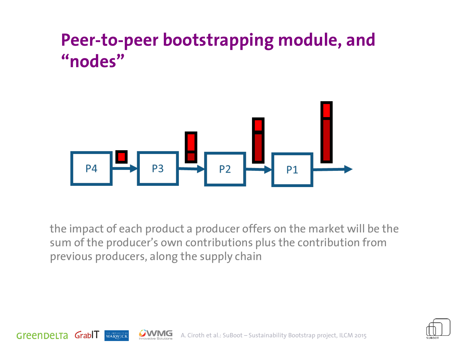

the impact of each product a producer offers on the market will be the sum of the producer's own contributions plus the contribution from previous producers, along the supply chain

Green DeLTa GrabIT



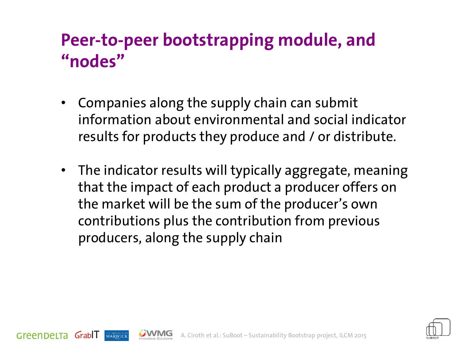- Companies along the supply chain can submit information about environmental and social indicator results for products they produce and / or distribute.
- The indicator results will typically aggregate, meaning that the impact of each product a producer offers on the market will be the sum of the producer's own contributions plus the contribution from previous producers, along the supply chain

GreenDeLTa GrabLL



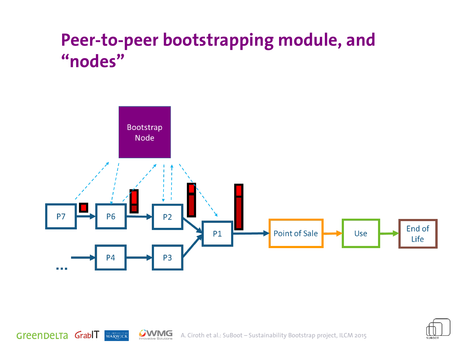





GreenDeLTa GrablT

THE UNIVERSITY OF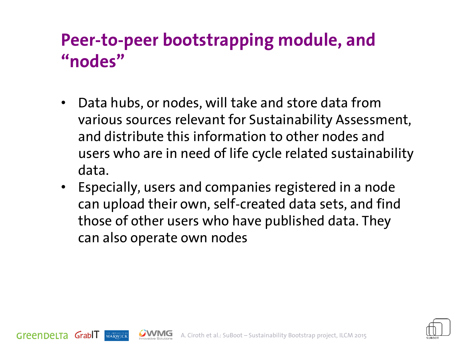- Data hubs, or nodes, will take and store data from various sources relevant for Sustainability Assessment, and distribute this information to other nodes and users who are in need of life cycle related sustainability data.
- Especially, users and companies registered in a node can upload their own, self-created data sets, and find those of other users who have published data. They can also operate own nodes

GreenDeLTa GrabLL



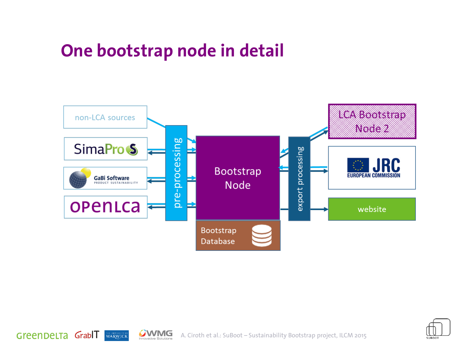#### **One bootstrap node in detail**

GreenDeLTa GrabIT





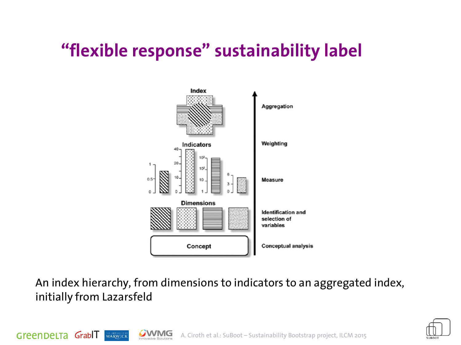### **"flexible response" sustainability label**



An index hierarchy, from dimensions to indicators to an aggregated index, initially from Lazarsfeld

Green DeLTa GrabIT



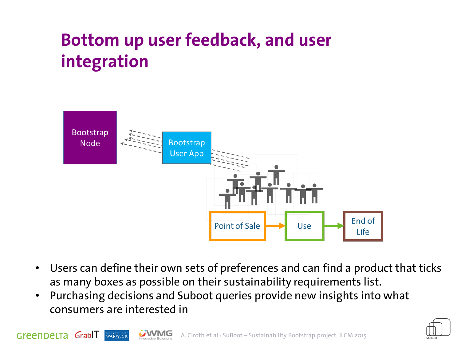### **Bottom up user feedback, and user integration**



- Users can define their own sets of preferences and can find a product that ticks as many boxes as possible on their sustainability requirements list.
- Purchasing decisions and Suboot queries provide new insights into what consumers are interested in

GreenDeLTa GrabIT

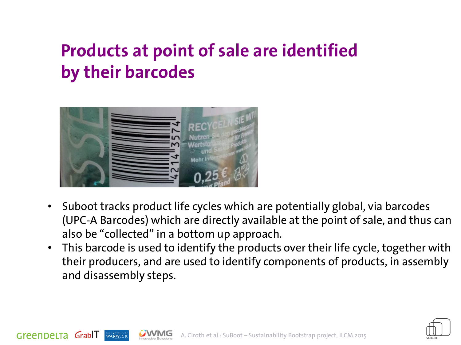### **Products at point of sale are identified by their barcodes**



Green DeLTa GrabIT

- Suboot tracks product life cycles which are potentially global, via barcodes (UPC-A Barcodes) which are directly available at the point of sale, and thus can also be "collected" in a bottom up approach.
- This barcode is used to identify the products over their life cycle, together with their producers, and are used to identify components of products, in assembly and disassembly steps.

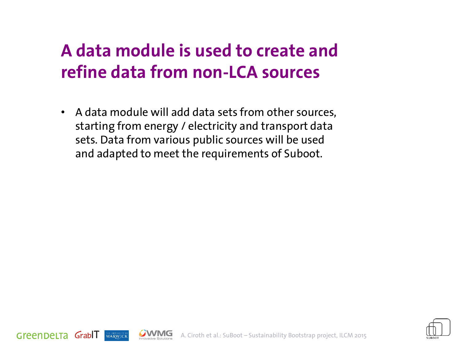### **A data module is used to create and refine data from non-LCA sources**

• A data module will add data sets from other sources, starting from energy / electricity and transport data sets. Data from various public sources will be used and adapted to meet the requirements of Suboot.



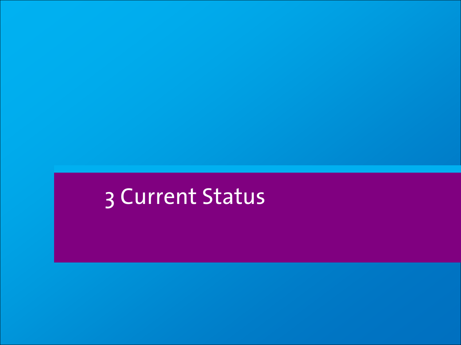# 3 Current Status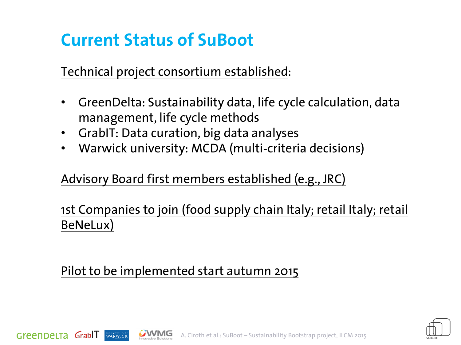#### **Current Status of SuBoot**

Technical project consortium established:

- GreenDelta: Sustainability data, life cycle calculation, data management, life cycle methods
- GrabIT: Data curation, big data analyses
- Warwick university: MCDA (multi-criteria decisions)

#### Advisory Board first members established (e.g., JRC)

#### 1st Companies to join (food supply chain Italy; retail Italy; retail BeNeLux)

#### Pilot to be implemented start autumn 2015

GreenDeLTa GrabIT



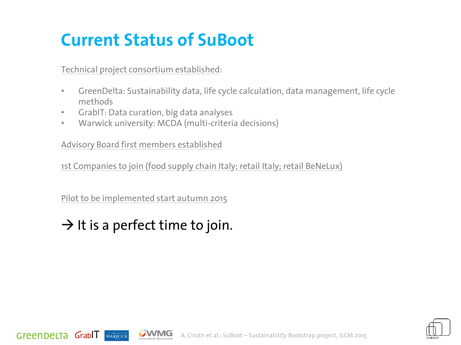### **Current Status of SuBoot**

Technical project consortium established:

- GreenDelta: Sustainability data, life cycle calculation, data management, life cycle methods
- GrabIT: Data curation, big data analyses
- Warwick university: MCDA (multi-criteria decisions)

Advisory Board first members established

1st Companies to join (food supply chain Italy; retail Italy; retail BeNeLux)

Pilot to be implemented start autumn 2015

#### $\rightarrow$  It is a perfect time to join.

WARWICK

Green DeLTa GrabIT



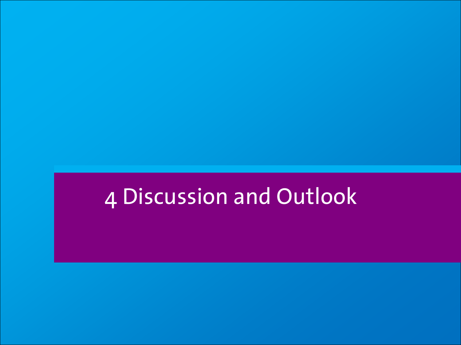## 4 Discussion and Outlook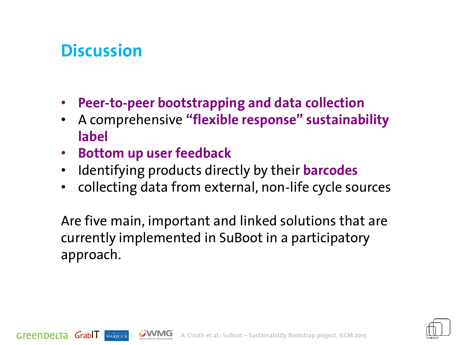#### **Discussion**

Green DeLTa GrabIT

WARWICK

- **Peer-to-peer bootstrapping and data collection**
- A comprehensive **"flexible response" sustainability label**
- **Bottom up user feedback**
- Identifying products directly by their **barcodes**
- collecting data from external, non-life cycle sources

Are five main, important and linked solutions that are currently implemented in SuBoot in a participatory approach.



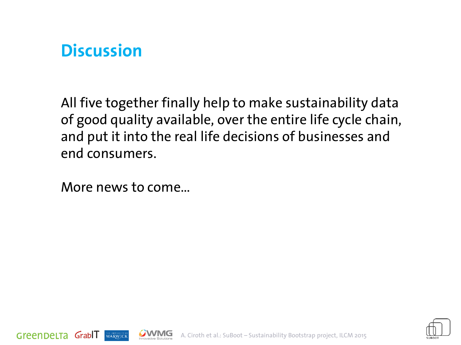#### **Discussion**

All five together finally help to make sustainability data of good quality available, over the entire life cycle chain, and put it into the real life decisions of businesses and end consumers.

More news to come…

WARWICK

GreenDeLTa GrabIT